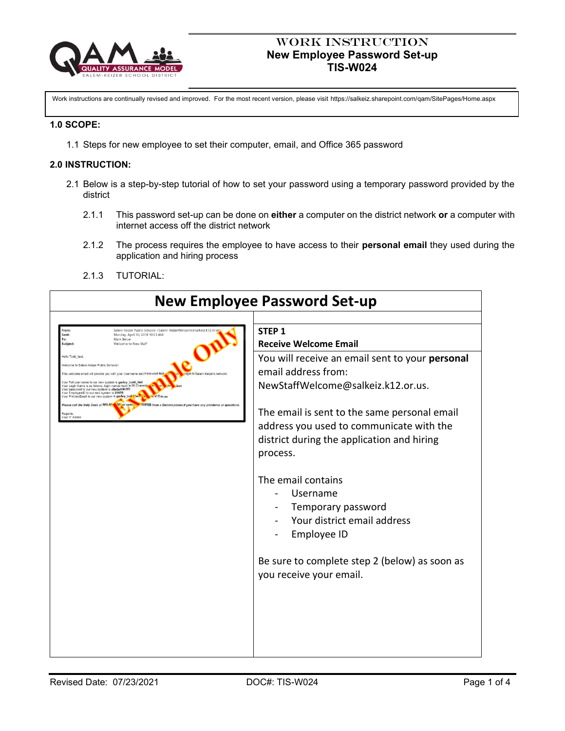

## Work Instruction **New Employee Password Set-up TIS-W024**

Work instructions are continually revised and improved. For the most recent version, please visit https://salkeiz.sharepoint.com/qam/SitePages/Home.aspx

#### **1.0 SCOPE:**

1.1 Steps for new employee to set their computer, email, and Office 365 password

#### **2.0 INSTRUCTION:**

- 2.1 Below is a step-by-step tutorial of how to set your password using a temporary password provided by the district
	- 2.1.1 This password set-up can be done on **either** a computer on the district network **or** a computer with internet access off the district network
	- 2.1.2 The process requires the employee to have access to their **personal email** they used during the application and hiring process
	- 2.1.3 TUTORIAL:

| <b>New Employee Password Set-up</b>                                                                                                                                                                                                                                                                                                                                                                                                                      |                                                                                                                                                                                                                                                                                                                                               |                                            |                                                                                                                                                                                                                                                                                                                                                                                                                                                                                                           |  |
|----------------------------------------------------------------------------------------------------------------------------------------------------------------------------------------------------------------------------------------------------------------------------------------------------------------------------------------------------------------------------------------------------------------------------------------------------------|-----------------------------------------------------------------------------------------------------------------------------------------------------------------------------------------------------------------------------------------------------------------------------------------------------------------------------------------------|--------------------------------------------|-----------------------------------------------------------------------------------------------------------------------------------------------------------------------------------------------------------------------------------------------------------------------------------------------------------------------------------------------------------------------------------------------------------------------------------------------------------------------------------------------------------|--|
| rom:<br>Sent:<br>To:<br>Subject:<br>Hello Todd test<br>Welcome to Salem-Keizer Public Schoo<br>Your Full user name to our new system is gurley_todd_test<br>Your Login Name is as follows, login names have a 20 Chara<br>Your password to our new system is d8e0ef49c1f7<br>Your EmployeeID to our new system is 20556<br>'rimaryEmail to our new system is gurley_tod∹<br>Please call the Help Desk at 503-3 <mark>0</mark><br>Regards<br>our IT Admin | Salem-Keizer Public Schools <salem-keizerwelcome@salkeiz.k12.or.us<br>Monday, April 30, 2018 10:53 AM<br/>Mark Belue<br/>Welcome to New Staff<br/>This welcome email will provide you with your Username and Password that<br/><math>k</math>12.or.ur<br/>55 or exter<br/>555555 from a District p</salem-keizerwelcome@salkeiz.k12.or.us<br> | hone if you have any problems or questions | STFP <sub>1</sub><br><b>Receive Welcome Email</b><br>You will receive an email sent to your personal<br>email address from:<br>NewStaffWelcome@salkeiz.k12.or.us.<br>The email is sent to the same personal email<br>address you used to communicate with the<br>district during the application and hiring<br>process.<br>The email contains<br>Username<br>Temporary password<br>Your district email address<br>Employee ID<br>Be sure to complete step 2 (below) as soon as<br>you receive your email. |  |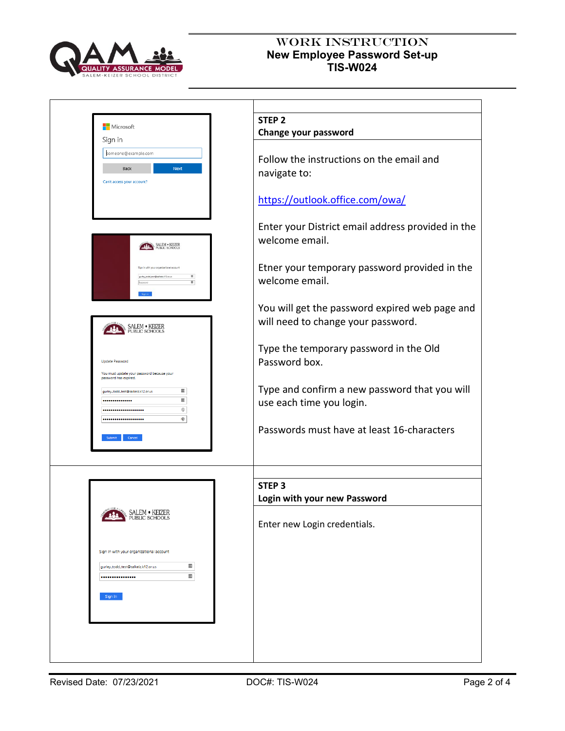

# WORK INSTRUCTION **New Employee Password Set-up TIS-W024**

| Change your password                              |
|---------------------------------------------------|
|                                                   |
| Follow the instructions on the email and          |
| navigate to:                                      |
|                                                   |
| https://outlook.office.com/owa/                   |
| Enter your District email address provided in the |
| welcome email.                                    |
|                                                   |
| Etner your temporary password provided in the     |
| welcome email.                                    |
|                                                   |
| You will get the password expired web page and    |
| will need to change your password.                |
|                                                   |
| Type the temporary password in the Old            |
| Password box.                                     |
|                                                   |
| Type and confirm a new password that you will     |
| use each time you login.                          |
|                                                   |
| Passwords must have at least 16-characters        |
|                                                   |
|                                                   |
| STEP <sub>3</sub>                                 |
| Login with your new Password                      |
|                                                   |
| Enter new Login credentials.                      |
|                                                   |
|                                                   |
|                                                   |
|                                                   |
|                                                   |
|                                                   |
|                                                   |
|                                                   |
|                                                   |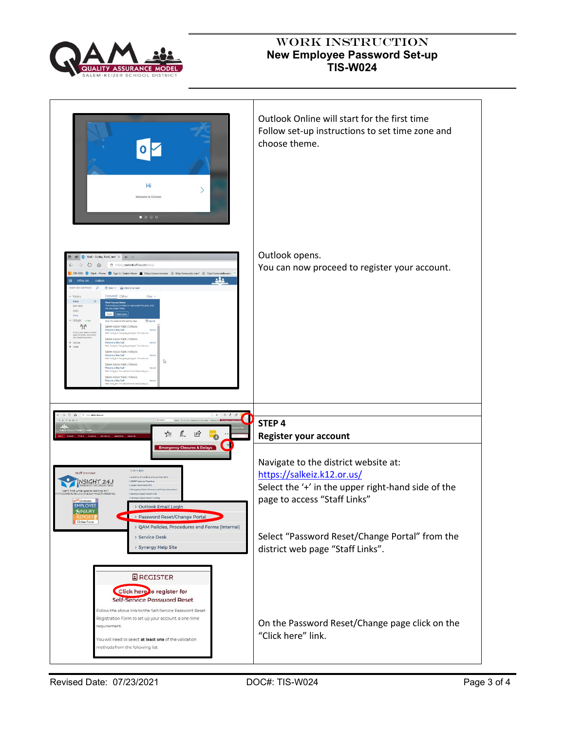

# WORK INSTRUCTION **New Employee Password Set-up TIS-W024**

| Hi<br>Welcome to Outlook.<br>$\bullet$ $\circ$ $\circ$ $\circ$                                                                                                                                                                                                                                                                                                                                                                                                                                                                                                                                                                                                                                                                                                                                                                                                                                                                                                                                                                                                                                                                                                                                                                          | Outlook Online will start for the first time<br>Follow set-up instructions to set time zone and<br>choose theme.                                         |
|-----------------------------------------------------------------------------------------------------------------------------------------------------------------------------------------------------------------------------------------------------------------------------------------------------------------------------------------------------------------------------------------------------------------------------------------------------------------------------------------------------------------------------------------------------------------------------------------------------------------------------------------------------------------------------------------------------------------------------------------------------------------------------------------------------------------------------------------------------------------------------------------------------------------------------------------------------------------------------------------------------------------------------------------------------------------------------------------------------------------------------------------------------------------------------------------------------------------------------------------|----------------------------------------------------------------------------------------------------------------------------------------------------------|
| → D Mail - Gurley_Todd_test × + V<br>$O$ $\Omega$<br>A https://outlook.office.com/owa/<br>OR-PERS E Mark - Home C Sign In   Salem-Keize M https://www.mormon St http://www.nbc.com/ St http://www.defersen<br>소음소<br>▦<br>Office 365 Outlook<br>learch Mail and People $\Box$ ( B New   v $\Box$ Mark all as read<br>Focused Other<br>Folders<br>Filter v<br>Inbox<br>Meet Forused Inbox<br>Find email you're likely to read under Focused, and<br>the rest under Other.<br>Sent Items<br>Drafts<br>Get it   Learn more<br>More<br>Groups = New<br>Next No events for the next two deys.<br>Agenda<br>$R^{\rm R}$<br>Salem-Keizer Public Schools<br>Welcome to New Staff<br>Groups give teams a shared<br>space for email documents.<br>and scheduling avenue.<br>Hells Todd test. Test gurley todd test. This wels<br>Salem-Keizer Public Schools<br>Welcome to New Staff<br>fisi 4/2<br>Hello Todd test, Test gurley todd test. This welcome<br>Salem-Keizer Public Schools<br>Nelcome to New Staff<br>wito Todd test. Test gurley todd test. This we<br>↳<br>Salem-Keizer Public Schools<br>Welcome to New Staff<br>84 4/22<br>lelis Todd test. This web<br>Salem-Keizer Public Schools<br>Welcome to New Staff<br>o Todd test, This | Outlook opens.<br>You can now proceed to register your account.                                                                                          |
| C A Recolocitions<br>□☆ 仁美源<br>$\mathbf{r}$ x $\mathbf{r}$ x x<br>ig Ing lim<br>New Entered Poster Drafts, Natury 19722<br>$E = \mathbb{Z}$<br>$\mathfrak{D}$<br>Subini Simung Leonarg About<br>Peters.                                                                                                                                                                                                                                                                                                                                                                                                                                                                                                                                                                                                                                                                                                                                                                                                                                                                                                                                                                                                                                 | STEP 4<br>Register your account                                                                                                                          |
| <b>Emergency Closures &amp; Delays</b><br>STAFFERNISS<br><b>Staff Intranet</b><br>Academy of teaching and ceaming: SKP<br><b>INSIGHT 24J</b><br>ACSOP Absence Reporting<br>Chieffal DranaDynet (CCD)<br>> Emergency School Cloquers<br>Can't find what you're laoking for?<br>ocuventi inclusionistes moves to restirt 20<br>Employee thisty Report Form<br><b>Croployee Injury Report Theirin</b><br>Electronic<br><b>EMPLOYEE</b><br>> Outlook Email Login<br>KINJURY                                                                                                                                                                                                                                                                                                                                                                                                                                                                                                                                                                                                                                                                                                                                                                 | Navigate to the district website at:<br>https://salkeiz.k12.or.us/<br>Select the '+' in the upper right-hand side of the<br>page to access "Staff Links" |
| > Password Reset/Change Portal<br>Online Form<br>> QAM Policies, Procedures and Forms (Internal)<br>> Service Desk<br>> Synergy Help Site                                                                                                                                                                                                                                                                                                                                                                                                                                                                                                                                                                                                                                                                                                                                                                                                                                                                                                                                                                                                                                                                                               | Select "Password Reset/Change Portal" from the<br>district web page "Staff Links".                                                                       |
| $E$ REGISTER<br>Click here o register for<br><b>Self-Service Password Reset</b><br>Follow the above link to the Self-Service Password Reset<br>Registration Form to set up your account, a one-time<br>requirement.<br>You will need to select at least one of the validation<br>methods from the following list:                                                                                                                                                                                                                                                                                                                                                                                                                                                                                                                                                                                                                                                                                                                                                                                                                                                                                                                       | On the Password Reset/Change page click on the<br>"Click here" link.                                                                                     |